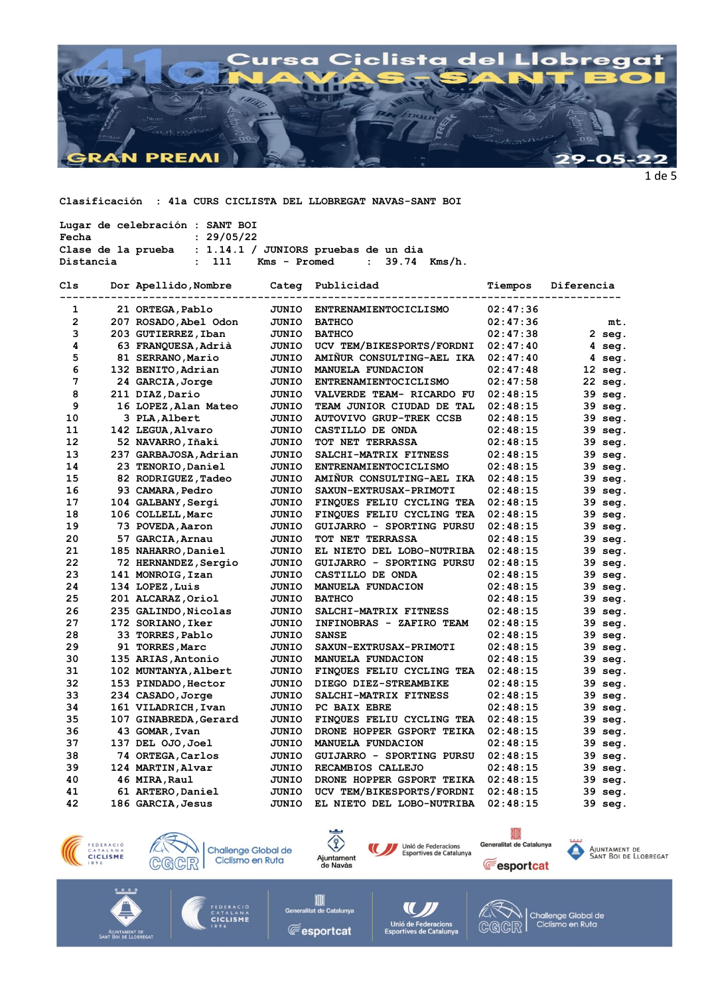

Clasificación : 41a CURS CICLISTA DEL LLOBREGAT NAVAS-SANT BOI

| Lugar de celebración : SANT BOI |                                                           |  |  |
|---------------------------------|-----------------------------------------------------------|--|--|
| Fecha                           | : 29/05/22                                                |  |  |
|                                 | Clase de la prueba : $1.14.1 /$ JUNIORS pruebas de un dia |  |  |
| Distancia                       | Kms - Promed : 39.74 Kms/h.<br>: 111                      |  |  |

| Cls            |  | Dor Apellido, Nombre<br>Categ |              | Publicidad                     | Tiempos  | Diferencia |  |
|----------------|--|-------------------------------|--------------|--------------------------------|----------|------------|--|
| 1              |  | 21 ORTEGA, Pablo              | <b>JUNIO</b> | ENTRENAMIENTOCICLISMO          | 02:47:36 |            |  |
| $\overline{2}$ |  | 207 ROSADO, Abel Odon         | JUNIO        | <b>BATHCO</b>                  | 02:47:36 | mt.        |  |
| 3              |  | 203 GUTIERREZ, Iban           | JUNIO        | <b>BATHCO</b>                  | 02:47:38 | $2$ seg.   |  |
| 4              |  | 63 FRANQUESA, Adrià           | JUNIO        | UCV TEM/BIKESPORTS/FORDNI      | 02:47:40 | 4 seg.     |  |
| 5              |  | 81 SERRANO, Mario             | <b>JUNIO</b> | AMIÑUR CONSULTING-AEL IKA      | 02:47:40 | 4 seg.     |  |
| 6              |  | 132 BENITO, Adrian            | JUNIO        | MANUELA FUNDACION              | 02:47:48 | 12 seg.    |  |
| 7              |  | 24 GARCIA, Jorge              | JUNIO        | ENTRENAMIENTOCICLISMO          | 02:47:58 | 22 seg.    |  |
| 8              |  | 211 DIAZ, Dario               | JUNIO        | VALVERDE TEAM- RICARDO FU      | 02:48:15 | 39 seg.    |  |
| 9              |  | 16 LOPEZ, Alan Mateo          | JUNIO        | TEAM JUNIOR CIUDAD DE TAL      | 02:48:15 | 39 seg.    |  |
| 10             |  | 3 PLA, Albert                 | JUNIO        | <b>AUTOVIVO GRUP-TREK CCSB</b> | 02:48:15 | 39 seg.    |  |
| 11             |  | 142 LEGUA, Alvaro             | JUNIO        | CASTILLO DE ONDA               | 02:48:15 | 39 seg.    |  |
| 12             |  | 52 NAVARRO, Iñaki             | <b>JUNIO</b> | TOT NET TERRASSA               | 02:48:15 | 39 seg.    |  |
| 13             |  | 237 GARBAJOSA, Adrian         | JUNIO        | SALCHI-MATRIX FITNESS          | 02:48:15 | 39 seg.    |  |
| 14             |  | 23 TENORIO, Daniel            | JUNIO        | ENTRENAMIENTOCICLISMO          | 02:48:15 | 39 seg.    |  |
| 15             |  | 82 RODRIGUEZ, Tadeo           | JUNIO        | AMIÑUR CONSULTING-AEL IKA      | 02:48:15 | 39 seg.    |  |
| 16             |  | 93 CAMARA, Pedro              | JUNIO        | SAXUN-EXTRUSAX-PRIMOTI         | 02:48:15 | 39 seg.    |  |
| 17             |  | 104 GALBANY, Sergi            | JUNIO        | FINQUES FELIU CYCLING TEA      | 02:48:15 | 39 seg.    |  |
| 18             |  | 106 COLLELL, Marc             | JUNIO        | FINQUES FELIU CYCLING TEA      | 02:48:15 | 39 seg.    |  |
| 19             |  | 73 POVEDA, Aaron              | JUNIO        | GUIJARRO - SPORTING PURSU      | 02:48:15 | 39 seg.    |  |
| 20             |  | 57 GARCIA, Arnau              | JUNIO        | TOT NET TERRASSA               | 02:48:15 | 39 seg.    |  |
| 21             |  | 185 NAHARRO, Daniel           | JUNIO        | EL NIETO DEL LOBO-NUTRIBA      | 02:48:15 | 39 seg.    |  |
| 22             |  | 72 HERNANDEZ, Sergio          | <b>JUNIO</b> | GUIJARRO - SPORTING PURSU      | 02:48:15 | 39 seg.    |  |
| 23             |  | 141 MONROIG, Izan             | JUNIO        | CASTILLO DE ONDA               | 02:48:15 | 39 seg.    |  |
| 24             |  | 134 LOPEZ, Luis               | <b>JUNIO</b> | MANUELA FUNDACION              | 02:48:15 | 39 seg.    |  |
| 25             |  | 201 ALCARAZ, Oriol            | JUNIO        | <b>BATHCO</b>                  | 02:48:15 | 39 seg.    |  |
| 26             |  | 235 GALINDO, Nicolas          | JUNIO        | SALCHI-MATRIX FITNESS          | 02:48:15 | 39 seg.    |  |
| 27             |  | 172 SORIANO, Iker             | JUNIO        | INFINOBRAS - ZAFIRO TEAM       | 02:48:15 | 39 seg.    |  |
| 28             |  | 33 TORRES, Pablo              | JUNIO        | <b>SANSE</b>                   | 02:48:15 | 39 seg.    |  |
| 29             |  | 91 TORRES, Marc               | JUNIO        | SAXUN-EXTRUSAX-PRIMOTI         | 02:48:15 | 39 seg.    |  |
| 30             |  | 135 ARIAS, Antonio            | JUNIO        | MANUELA FUNDACION              | 02:48:15 | 39 seg.    |  |
| 31             |  | 102 MUNTANYA, Albert          | JUNIO        | FINQUES FELIU CYCLING TEA      | 02:48:15 | 39 seg.    |  |
| 32             |  | 153 PINDADO, Hector           | JUNIO        | DIEGO DIEZ-STREAMBIKE          | 02:48:15 | 39 seg.    |  |
| 33             |  | 234 CASADO, Jorge             | <b>JUNIO</b> | SALCHI-MATRIX FITNESS          | 02:48:15 | 39<br>seg. |  |
| 34             |  | 161 VILADRICH, Ivan           | <b>JUNIO</b> | PC BAIX EBRE                   | 02:48:15 | 39 seg.    |  |
| 35             |  | 107 GINABREDA, Gerard         | JUNIO        | FINQUES FELIU CYCLING TEA      | 02:48:15 | 39 seg.    |  |
| 36             |  | 43 GOMAR, Ivan                | JUNIO        | DRONE HOPPER GSPORT TEIKA      | 02:48:15 | 39 seg.    |  |
| 37             |  | 137 DEL 0JO, Joel             | JUNIO        | <b>MANUELA FUNDACION</b>       | 02:48:15 | 39 seg.    |  |
| 38             |  | 74 ORTEGA, Carlos             | JUNIO        | GUIJARRO - SPORTING PURSU      | 02:48:15 | 39 seg.    |  |
| 39             |  | 124 MARTIN, Alvar             | JUNIO        | RECAMBIOS CALLEJO              | 02:48:15 | 39 seg.    |  |
| 40             |  | 46 MIRA, Raul                 | JUNIO        | DRONE HOPPER GSPORT TEIKA      | 02:48:15 | 39 seg.    |  |
| 41             |  | 61 ARTERO, Daniel             | JUNIO        | UCV TEM/BIKESPORTS/FORDNI      | 02:48:15 | 39 seg.    |  |
| 42             |  | 186 GARCIA, Jesus             | JUNIO        | EL NIETO DEL LOBO-NUTRIBA      | 02:48:15 | 39 seg.    |  |
|                |  |                               |              |                                |          |            |  |











Ajuntament de<br>Sant Boi de Llobregat

Ajuntament de<br>Sant Boi de Llobrega



**All Catalunya**<br>Ilitat de Catalunya **E**esportcat

Ge



CGCR

Challenge Global de<br>Ciclismo en Ruta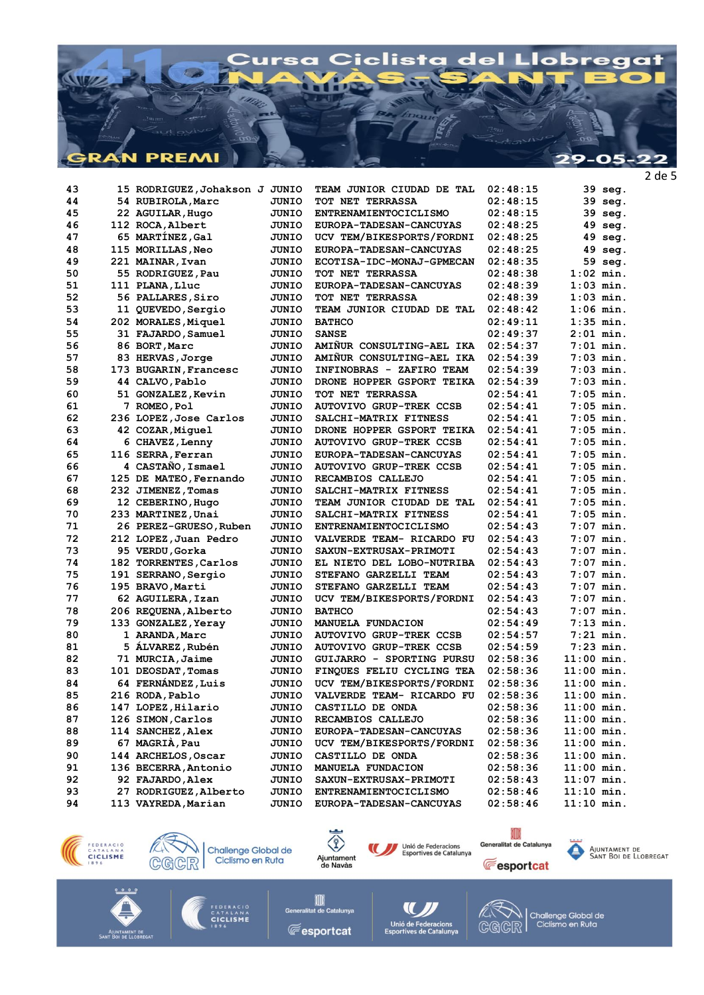

15 RODRIGUEZ, Johakson J JUNIO TEAM JUNIOR CIUDAD DE TAL  $02:48:15$ 39 seg. 43 44 54 RUBIROLA, Marc **JUNIO** TOT NET TERRASSA  $02:48:15$ 39 seg.  $45$ 22 AGUILAR, Hugo **JUNIO** ENTRENAMIENTOCICLISMO  $02:48:15$ 39 seg. 46 112 ROCA, Albert **JUNIO** EUROPA-TADESAN-CANCUYAS  $02:48:25$ 49 seg. 47 65 MARTÍNEZ, Gal JUNIO UCV TEM/BIKESPORTS/FORDNI  $02:48:25$ 49 seg. 115 MORILLAS, Neo 48 EUROPA-TADESAN-CANCUYAS  $02:48:25$  $49$  seq. **JUNIO**  $59$  seq. 49 221 MAINAR. Ivan **JUNIO** ECOTISA-IDC-MONAJ-GPMECAN  $02:48:35$  $1:02$  min. 50 55 RODRIGUEZ, Pau TOT NET TERRASSA  $02:48:38$ **OTINTO** 51 111 PLANA, Lluc **JUNIO** EUROPA-TADESAN-CANCUYAS  $02:48:39$  $1:03$  min. 52 56 PALLARES, Siro **JUNIO** TOT NET TERRASSA  $02:48:39$  $1:03$  min.  $53$ 11 OUEVEDO, Sergio TEAM JUNIOR CIUDAD DE TAL  $02.48.42$  $1.06$  min OTIMIT. 54 202 MORALES, Miquel JUNIO **BATHCO**  $02:49:11$  $1:35$  min. 55 31 FAJARDO, Samuel JUNIO **SANSE**  $02:49:37$  $2:01$  min. 86 BORT, Marc AMIÑUR CONSULTING-AEL IKA  $02:54:37$  $7:01$  min. 56 OTHIT. 57 83 HERVAS, Jorge **JUNIO** AMIÑUR CONSULTING-AEL IKA  $02:54:39$  $7:03$  min. 58 173 BUGARIN, Francesc INFINOBRAS - ZAFIRO TEAM  $02:54:39$  $7:03$  min. **JUNIO** 59 DRONE HOPPER GSPORT TEIKA  $02:54:39$  $7:03$  min. 44 CALVO. Pablo **JUNIO**  $7:05$  min. 60 51 GONZALEZ, Kevin **JUNIO** TOT NET TERRASSA  $02:54:41$ 61 7 ROMEO.Pol **JUNIO AUTOVIVO GRUP-TREK CCSB**  $02:54:41$  $7:05$  min. 62 236 LOPEZ, Jose Carlos **JUNIO** SALCHI-MATRIX FITNESS  $02:54:41$  $7:05$  min. 63 42 COZAR, Miquel **JUNIO** DRONE HOPPER GSPORT TEIKA  $02:54:41$  $7:05$  min.  $02:54:41$  $7:05$  min 64 6 CHAVEZ, Lenny OTHIT. AUTOVIVO GRUP-TREK CCSB 65 116 SERRA, Ferran **JUNIO** EUROPA-TADESAN-CANCUYAS  $02:54:41$  $7:05$  min. 66 4 CASTAÑO, Ismael JUNIO **AUTOVIVO GRUP-TREK CCSB**  $02:54:41$  $7:05$  min.  $7:05$  min. 67 125 DE MATEO, Fernando **JUNIO** RECAMBIOS CALLEJO  $02:54:41$ 68 232 JIMENEZ, Tomas **JUNIO** SALCHI-MATRIX FITNESS  $02:54:41$  $7:05$  min. 12 CEBERINO, Hugo  $02:54:41$  $7:05$  min.  $69$ **JUNIO** TEAM JUNIOR CIUDAD DE TAL  $70$ 233 MARTINEZ, Unai OTMIT. SALCHI-MATRIX FITNESS  $02.54.41$  $7:05$  min. 71 26 PEREZ-GRUESO, Ruben **JUNIO** ENTRENAMIENTOCICLISMO  $02:54:43$  $7:07$  min. 212 LOPEZ, Juan Pedro VALVERDE TEAM- RICARDO FU  $7:07$  min. 72 **JUNIO**  $02:54:43$  $73$ 95 VERDU, Gorka **JUNIO** SAXUN-EXTRUSAX-PRIMOTI  $02:54:43$  $7:07$  min. 74 182 TORRENTES, Carlos JUNIO EL NIETO DEL LOBO-NUTRIBA  $02:54:43$  $7:07$  min. 75 191 SERRANO, Sergio **JUNIO** STEFANO GARZELLI TEAM  $02:54:43$  $7:07$  min.  $7:07$  min. 76 195 BRAVO.Marti **JUNIO** STEFANO GARZELLI TEAM  $02:54:43$ 77 62 AGUILERA, Izan **JUNIO** UCV TEM/BIKESPORTS/FORDNI  $02:54:43$  $7:07$  min. 206 REQUENA, Alberto 78 **JUNIO BATHCO**  $02:54:43$  $7:07$  min. 79 133 GONZALEZ, Yeray **JUNIO** MANUELA FUNDACION  $02:54:49$  $7:13$  min. 80 1 ARANDA, Marc **JUNIO AUTOVIVO GRUP-TREK CCSB**  $02:54:57$  $7:21$  min.  $7:23$  min.  $R1$ 5 ÁLVAREZ, Rubén **JUNIO AUTOVIVO GRUP-TREK CCSB**  $02:54:59$ 82 71 MURCIA, Jaime GUIJARRO - SPORTING PURSU  $02:58:36$  $11:00$  min. **JUNIO** 101 DEOSDAT, Tomas **R** FINOUES FELIU CYCLING TEA  $02.58.36$  $11 \cdot 00$  min **OTIMITO**  $84$ 64 FERNÁNDEZ, Luis **JUNIO** UCV TEM/BIKESPORTS/FORDNI  $02:58:36$  $11:00$  min. 85 216 RODA, Pablo JUNIO VALVERDE TEAM- RICARDO FU  $02:58:36$  $11:00$  min. 147 LOPEZ.Hilario CASTILLO DE ONDA  $11:00$  min. 86 **JUNIO**  $02:58:36$ 87 126 SIMON, Carlos **JUNIO** RECAMBIOS CALLEJO  $02:58:36$  $11:00$  min. 114 SANCHEZ, Alex  $11:00$  min. EUROPA-TADESAN-CANCUYAS **RR JUNIO**  $02:58:36$  $89$ 67 MAGRIÀ, Pau **JUNIO** UCV TEM/BIKESPORTS/FORDNI  $02:58:36$  $11:00$  min. 90 144 ARCHELOS, Oscar  $02:58:36$  $11:00$  min. **JUNIO** CASTILLO DE ONDA 136 BECERRA, Antonio MANUELA FUNDACION  $02:58:36$  $11:00$  min 91 **JUNIO** 92 92 FAJARDO, Alex **JUNIO** SAXUN-EXTRUSAX-PRIMOTI  $02:58:43$  $11:07$  min.  $93$ 27 RODRIGUEZ, Alberto **JUNIO** ENTRENAMIENTOCICLISMO  $02:58:46$  $11:10$  min. EUROPA-TADESAN-CANCUYAS  $11:10$  min. 94 113 VAYREDA, Marian OTHIT.  $02:58:46$ 











AJUNTAMENT DE<br>SANT BOI DE LLOBREGAT

<sub>CATALAN</sub><br>CICLISME

TITT **Fesportcat** 



Challenge Global de<br>Ciclismo en Ruta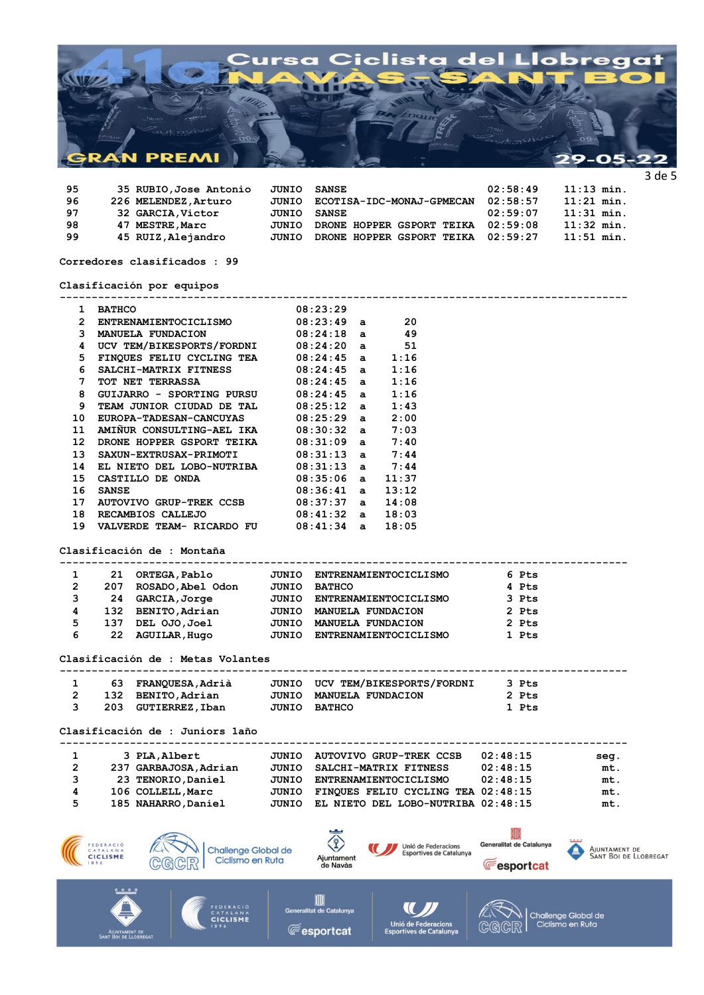

| 95 | 35 RUBIO, Jose Antonio | JUNIO | SANSE                     | 02:58:49 | $11:13$ min. |
|----|------------------------|-------|---------------------------|----------|--------------|
| 96 | 226 MELENDEZ, Arturo   | JUNIO | ECOTISA-IDC-MONAJ-GPMECAN | 02:58:57 | $11:21$ min. |
| 97 | 32 GARCIA, Victor      | JUNIO | SANSE                     | 02:59:07 | $11:31$ min. |
| 98 | 47 MESTRE, Marc        | JUNIO | DRONE HOPPER GSPORT TEIKA | 02:59:08 | $11:32$ min. |
| 99 | 45 RUIZ, Alejandro     | JUNIO | DRONE HOPPER GSPORT TEIKA | 02:59:27 | $11:51$ min. |
|    |                        |       |                           |          |              |

**Corredores clasificados : 99**

**Clasificación por equipos**

|   | 1 BATHCO                    |                                                                                                                                                                                                                                                                          | 08:23:29                             |                                                |                          |                                        |
|---|-----------------------------|--------------------------------------------------------------------------------------------------------------------------------------------------------------------------------------------------------------------------------------------------------------------------|--------------------------------------|------------------------------------------------|--------------------------|----------------------------------------|
|   |                             | 2 ENTRENAMIENTOCICLISMO 08:23:49 a 20                                                                                                                                                                                                                                    |                                      |                                                |                          |                                        |
|   |                             |                                                                                                                                                                                                                                                                          |                                      |                                                |                          |                                        |
|   |                             | 3 MANUELA FUNDACION 08:24:18 a 49<br>4 UCV TEM/BIKESPORTS/FORDNI 08:24:20 a 51                                                                                                                                                                                           |                                      |                                                |                          |                                        |
|   |                             | 5 FINQUES FELIU CYCLING TEA 08:24:45 a 1:16                                                                                                                                                                                                                              |                                      |                                                |                          |                                        |
|   |                             |                                                                                                                                                                                                                                                                          |                                      |                                                |                          |                                        |
|   |                             | 6 SALCHI-MATRIX FITNESS 08:24:45 a 1:16<br>7 TOT NET TERRASSA 08:24:45 a 1:16                                                                                                                                                                                            |                                      |                                                |                          |                                        |
| 8 |                             | GUIJARRO - SPORTING PURSU 08:24:45 a 1:16                                                                                                                                                                                                                                |                                      |                                                |                          |                                        |
|   |                             |                                                                                                                                                                                                                                                                          |                                      |                                                |                          |                                        |
|   |                             | 9 TEAM JUNIOR CIUDAD DE TAL 08:25:12 a 1:43<br>10 EUROPA-TADESAN-CANCUYAS 08:25:29 a 2:00<br>11 AMIÑUR CONSULTING-AEL IKA 08:30:32 a 7:03                                                                                                                                |                                      |                                                |                          |                                        |
|   |                             |                                                                                                                                                                                                                                                                          |                                      |                                                |                          |                                        |
|   |                             |                                                                                                                                                                                                                                                                          |                                      |                                                |                          |                                        |
|   |                             | $\begin{tabular}{lllllllll} \bf 12 & \tt{DRONE HOPPER GSPORT TEIKA} & \tt{08:31:09} & a & \tt{7:40} \\ \bf 13 & \tt{SAXUN-EXTRUSAX-PRIMOTI} & \tt{08:31:13} & a & \tt{7:44} \\ \bf 14 & \tt{EL NIETO DEL LOBO-NUTRIBA} & \tt{08:31:13} & a & \tt{7:44} \\ \end{tabular}$ |                                      |                                                |                          |                                        |
|   |                             |                                                                                                                                                                                                                                                                          |                                      |                                                |                          |                                        |
|   |                             | 15 CASTILLO DE ONDA 08:35:06 a 11:37                                                                                                                                                                                                                                     |                                      |                                                |                          |                                        |
|   | 16 SANSE                    |                                                                                                                                                                                                                                                                          |                                      |                                                |                          |                                        |
|   |                             | 17 AUTOVIVO GRUP-TREK CCSB                                                                                                                                                                                                                                               | 08:36:41 a 13:12<br>08:37:37 a 14:08 |                                                |                          |                                        |
|   |                             | 18 RECAMBIOS CALLEJO                                                                                                                                                                                                                                                     | $08:41:32$ a $18:03$                 |                                                |                          |                                        |
|   |                             | 19 VALVERDE TEAM- RICARDO FU 08:41:34 a 18:05                                                                                                                                                                                                                            |                                      |                                                |                          |                                        |
|   |                             |                                                                                                                                                                                                                                                                          |                                      |                                                |                          |                                        |
|   |                             |                                                                                                                                                                                                                                                                          |                                      |                                                |                          |                                        |
|   |                             | Clasificación de : Montaña                                                                                                                                                                                                                                               |                                      |                                                |                          |                                        |
|   |                             |                                                                                                                                                                                                                                                                          |                                      |                                                |                          |                                        |
|   |                             | 1 21 ORTEGA, Pablo JUNIO ENTRENAMIENTOCICLISMO<br>2 207 ROSADO, Abel Odon JUNIO BATHCO                                                                                                                                                                                   |                                      |                                                | 6 Pts                    |                                        |
|   |                             |                                                                                                                                                                                                                                                                          |                                      |                                                | 4 Pts                    |                                        |
|   |                             | 3 24 GARCIA, Jorge JUNIO ENTRENAMIENTOCICLISMO 3 Pts                                                                                                                                                                                                                     |                                      |                                                |                          |                                        |
|   |                             | 4 132 BENITO, Adrian 100 JUNIO MANUELA FUNDACION<br>5 137 DEL OJO, Joel 1000 JUNIO MANUELA FUNDACION                                                                                                                                                                     |                                      |                                                | 2 Pts                    |                                        |
|   |                             |                                                                                                                                                                                                                                                                          |                                      |                                                | 2 Pts                    |                                        |
|   |                             | 6 22 AGUILAR, Hugo JUNIO ENTRENAMIENTOCICLISMO 1 Pts                                                                                                                                                                                                                     |                                      |                                                |                          |                                        |
|   |                             |                                                                                                                                                                                                                                                                          |                                      |                                                |                          |                                        |
|   |                             | Clasificación de : Metas Volantes                                                                                                                                                                                                                                        |                                      |                                                |                          |                                        |
|   |                             |                                                                                                                                                                                                                                                                          |                                      |                                                |                          |                                        |
|   |                             | 1 63 FRANQUESA, Adrià JUNIO UCV TEM/BIKESPORTS/FORDNI 3 Pts                                                                                                                                                                                                              |                                      |                                                |                          |                                        |
|   |                             | 2 132 BENITO, Adrian<br>3 203 GUTIERREZ, Iban                                                                                                                                                                                                                            |                                      | JUNIO MANUELA FUNDACION                        | 2 Pts                    |                                        |
|   |                             |                                                                                                                                                                                                                                                                          | <b>JUNIO BATHCO</b>                  |                                                | 1 Pts                    |                                        |
|   |                             |                                                                                                                                                                                                                                                                          |                                      |                                                |                          |                                        |
|   |                             | Clasificación de : Juniors 1año                                                                                                                                                                                                                                          |                                      |                                                |                          |                                        |
|   |                             |                                                                                                                                                                                                                                                                          |                                      |                                                |                          |                                        |
|   |                             | 1 3 PLA, Albert 5UNIO AUTOVIVO GRUP-TREK CCSB 02:48:15 seg.                                                                                                                                                                                                              |                                      |                                                |                          |                                        |
|   |                             |                                                                                                                                                                                                                                                                          |                                      |                                                |                          | mt.                                    |
|   |                             |                                                                                                                                                                                                                                                                          |                                      |                                                |                          | mt.                                    |
|   |                             | 237 GARBAJOSA, Adrian JUNIO SALCHI-MATRIX FITNESS 02:48:15<br>323 TENORIO, Daniel JUNIO ENTRENAMIENTOCICLISMO 02:48:15<br>4106 COLLELL, Marc JUNIO FINQUES FELIU CYCLING TEA 02:48:15                                                                                    |                                      |                                                |                          | $mth$ .                                |
| 5 |                             | 185 NAHARRO, Daniel JUNIO EL NIETO DEL LOBO-NUTRIBA 02:48:15                                                                                                                                                                                                             |                                      |                                                |                          | mt.                                    |
|   |                             |                                                                                                                                                                                                                                                                          |                                      |                                                |                          |                                        |
|   |                             |                                                                                                                                                                                                                                                                          |                                      |                                                |                          |                                        |
|   | FEDERACIÓ                   |                                                                                                                                                                                                                                                                          |                                      |                                                | Generalitat de Catalunya |                                        |
|   | CATALANA<br><b>CICLISME</b> | <b>Challenge Global de</b>                                                                                                                                                                                                                                               |                                      | Unió de Federacions<br>Esportives de Catalunya |                          | AJUNTAMENT DE<br>SANT BOI DE LLOBREGAT |
|   |                             | Ciclismo en Ruta                                                                                                                                                                                                                                                         | Ajuntament<br>de Navàs               |                                                | <b>Fesportcat</b>        |                                        |
|   |                             |                                                                                                                                                                                                                                                                          |                                      |                                                |                          |                                        |
|   | 0000                        |                                                                                                                                                                                                                                                                          |                                      |                                                |                          |                                        |
|   |                             | EDERACIÓ                                                                                                                                                                                                                                                                 | OD                                   | U                                              |                          |                                        |
|   |                             |                                                                                                                                                                                                                                                                          | Generalitat de Catalunya             |                                                |                          |                                        |

 $\mathbf{U}$ 

Unió de Federacions<br>Esportives de Catalunya

FEDERACIÓ<br>CATALANA<br>CICLISME

AJUNTAMENT DE<br>Sant Boi de Llobregat

**Fesportcat** 

A<br>CGCR | Challenge Global de<br>CGCR | Ciclismo en Ruta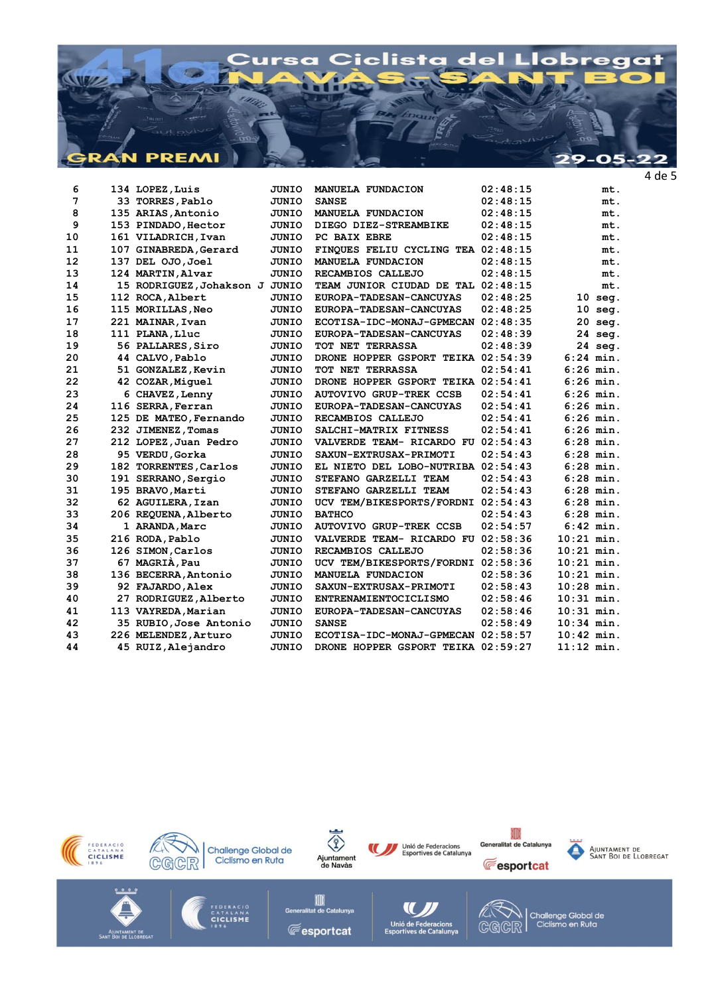

| 7<br>02:48:15<br>33 TORRES, Pablo<br><b>JUNIO</b><br><b>SANSE</b><br>mt.<br>8<br>135 ARIAS, Antonio<br><b>JUNIO</b><br>MANUELA FUNDACION<br>02:48:15<br>mt.<br>9<br>JUNIO<br>DIEGO DIEZ-STREAMBIKE<br>02:48:15<br>mt.<br>153 PINDADO, Hector<br>10<br>PC BAIX EBRE<br>02:48:15<br>161 VILADRICH, Ivan<br>JUNIO<br>mt.<br>11<br>FINQUES FELIU CYCLING TEA 02:48:15<br>107 GINABREDA, Gerard<br>JUNIO<br>mt.<br>12<br>137 DEL 0JO, Joel<br>JUNIO<br>MANUELA FUNDACION<br>02:48:15<br>mt.<br>13<br>124 MARTIN, Alvar<br>JUNIO<br>RECAMBIOS CALLEJO<br>02:48:15<br>mt.<br>14<br>15 RODRIGUEZ, Johakson J<br>JUNIO<br>TEAM JUNIOR CIUDAD DE TAL 02:48:15<br>mt.<br>15<br>112 ROCA, Albert<br>JUNIO<br>EUROPA-TADESAN-CANCUYAS<br>02:48:25<br>$10$ seg.<br>16<br>115 MORILLAS, Neo<br>02:48:25<br>$10$ seg.<br>JUNIO<br>EUROPA-TADESAN-CANCUYAS<br>20 seg.<br>17<br>221 MAINAR, Ivan<br>02:48:35<br>JUNIO<br>ECOTISA-IDC-MONAJ-GPMECAN<br>18<br>24 seg.<br>111 PLANA, Lluc<br>JUNIO<br>EUROPA-TADESAN-CANCUYAS<br>02:48:39<br>19<br>24 seg.<br>56 PALLARES, Siro<br><b>JUNIO</b><br>TOT NET TERRASSA<br>02:48:39<br>20<br>$6:24$ min.<br>44 CALVO, Pablo<br>DRONE HOPPER GSPORT TEIKA 02:54:39<br><b>JUNIO</b><br>$6:26$ min.<br>21<br>02:54:41<br>51 GONZALEZ, Kevin<br><b>JUNIO</b><br>TOT NET TERRASSA<br>22<br>$6:26$ min.<br>42 COZAR, Miquel<br><b>JUNIO</b><br>DRONE HOPPER GSPORT TEIKA 02:54:41<br>23<br>02:54:41<br>$6:26$ min.<br>6 CHAVEZ, Lenny<br>JUNIO<br><b>AUTOVIVO GRUP-TREK CCSB</b><br>24<br>116 SERRA, Ferran<br>02:54:41<br>$6:26$ min.<br><b>JUNIO</b><br>EUROPA-TADESAN-CANCUYAS<br>25<br>125 DE MATEO, Fernando<br>02:54:41<br>$6:26$ min.<br>JUNIO<br>RECAMBIOS CALLEJO<br>26<br>02:54:41<br>$6:26$ min.<br>232 JIMENEZ, Tomas<br>JUNIO<br>SALCHI-MATRIX FITNESS<br>27<br>$6:28$ min.<br>212 LOPEZ, Juan Pedro<br><b>JUNIO</b><br>VALVERDE TEAM- RICARDO FU 02:54:43<br>28<br>02:54:43<br>$6:28$ min.<br>95 VERDU, Gorka<br>JUNIO<br>SAXUN-EXTRUSAX-PRIMOTI<br>29<br><b>JUNIO</b><br>EL NIETO DEL LOBO-NUTRIBA 02:54:43<br>$6:28$ min.<br>182 TORRENTES, Carlos<br>30<br>STEFANO GARZELLI TEAM<br>02:54:43<br>$6:28$ min.<br>191 SERRANO, Sergio<br>JUNIO<br>31<br>02:54:43<br>$6:28$ min.<br>195 BRAVO, Marti<br>JUNIO<br>STEFANO GARZELLI TEAM<br>32<br>02:54:43<br>$6:28$ min.<br>62 AGUILERA, Izan<br><b>JUNIO</b><br>UCV TEM/BIKESPORTS/FORDNI<br>33<br>$6:28$ min.<br>206 REQUENA, Alberto<br><b>JUNIO</b><br><b>BATHCO</b><br>02:54:43<br>$6:42$ min.<br>34<br><b>JUNIO</b><br><b>AUTOVIVO GRUP-TREK CCSB</b><br>02:54:57<br>1 ARANDA, Marc<br>35<br>$10:21$ min.<br>216 RODA, Pablo<br>02:58:36<br>JUNIO<br>VALVERDE TEAM- RICARDO FU<br>36<br>126 SIMON, Carlos<br>02:58:36<br>$10:21$ min.<br>JUNIO<br>RECAMBIOS CALLEJO<br>37<br>67 MAGRIA, Pau<br>UCV TEM/BIKESPORTS/FORDNI 02:58:36<br>$10:21$ min.<br><b>JUNIO</b><br>38<br>$10:21$ min.<br>136 BECERRA, Antonio<br>02:58:36<br><b>JUNIO</b><br>MANUELA FUNDACION<br>39<br><b>JUNIO</b><br>SAXUN-EXTRUSAX-PRIMOTI<br>02:58:43<br>$10:28$ min.<br>92 FAJARDO, Alex<br>40<br>$10:31$ min.<br>27 RODRIGUEZ, Alberto<br><b>JUNIO</b><br>ENTRENAMIENTOCICLISMO<br>02:58:46<br>$10:31$ min.<br><b>JUNIO</b><br>02:58:46<br>41<br>113 VAYREDA, Marian<br>EUROPA-TADESAN-CANCUYAS<br>42<br>02:58:49<br>$10:34$ min.<br>35 RUBIO, Jose Antonio<br>JUNIO<br><b>SANSE</b><br>43<br>$10:42$ min.<br>226 MELENDEZ, Arturo<br>JUNIO<br>ECOTISA-IDC-MONAJ-GPMECAN 02:58:57<br>44<br>DRONE HOPPER GSPORT TEIKA 02:59:27<br>$11:12$ min.<br>45 RUIZ, Alejandro<br><b>JUNIO</b> | 6 | 134 LOPEZ, Luis | JUNIO | MANUELA FUNDACION | 02:48:15 | mt. |
|-------------------------------------------------------------------------------------------------------------------------------------------------------------------------------------------------------------------------------------------------------------------------------------------------------------------------------------------------------------------------------------------------------------------------------------------------------------------------------------------------------------------------------------------------------------------------------------------------------------------------------------------------------------------------------------------------------------------------------------------------------------------------------------------------------------------------------------------------------------------------------------------------------------------------------------------------------------------------------------------------------------------------------------------------------------------------------------------------------------------------------------------------------------------------------------------------------------------------------------------------------------------------------------------------------------------------------------------------------------------------------------------------------------------------------------------------------------------------------------------------------------------------------------------------------------------------------------------------------------------------------------------------------------------------------------------------------------------------------------------------------------------------------------------------------------------------------------------------------------------------------------------------------------------------------------------------------------------------------------------------------------------------------------------------------------------------------------------------------------------------------------------------------------------------------------------------------------------------------------------------------------------------------------------------------------------------------------------------------------------------------------------------------------------------------------------------------------------------------------------------------------------------------------------------------------------------------------------------------------------------------------------------------------------------------------------------------------------------------------------------------------------------------------------------------------------------------------------------------------------------------------------------------------------------------------------------------------------------------------------------------------------------------------------------------------------------------------------------------------------------------------------------------------------------------------------------------------------------------------------------------------------------------------------------------------------------------------------------------------------------------------------------------------------------------------------------------------------------------------------------------------------------------------------------|---|-----------------|-------|-------------------|----------|-----|
|                                                                                                                                                                                                                                                                                                                                                                                                                                                                                                                                                                                                                                                                                                                                                                                                                                                                                                                                                                                                                                                                                                                                                                                                                                                                                                                                                                                                                                                                                                                                                                                                                                                                                                                                                                                                                                                                                                                                                                                                                                                                                                                                                                                                                                                                                                                                                                                                                                                                                                                                                                                                                                                                                                                                                                                                                                                                                                                                                                                                                                                                                                                                                                                                                                                                                                                                                                                                                                                                                                                                                 |   |                 |       |                   |          |     |
|                                                                                                                                                                                                                                                                                                                                                                                                                                                                                                                                                                                                                                                                                                                                                                                                                                                                                                                                                                                                                                                                                                                                                                                                                                                                                                                                                                                                                                                                                                                                                                                                                                                                                                                                                                                                                                                                                                                                                                                                                                                                                                                                                                                                                                                                                                                                                                                                                                                                                                                                                                                                                                                                                                                                                                                                                                                                                                                                                                                                                                                                                                                                                                                                                                                                                                                                                                                                                                                                                                                                                 |   |                 |       |                   |          |     |
|                                                                                                                                                                                                                                                                                                                                                                                                                                                                                                                                                                                                                                                                                                                                                                                                                                                                                                                                                                                                                                                                                                                                                                                                                                                                                                                                                                                                                                                                                                                                                                                                                                                                                                                                                                                                                                                                                                                                                                                                                                                                                                                                                                                                                                                                                                                                                                                                                                                                                                                                                                                                                                                                                                                                                                                                                                                                                                                                                                                                                                                                                                                                                                                                                                                                                                                                                                                                                                                                                                                                                 |   |                 |       |                   |          |     |
|                                                                                                                                                                                                                                                                                                                                                                                                                                                                                                                                                                                                                                                                                                                                                                                                                                                                                                                                                                                                                                                                                                                                                                                                                                                                                                                                                                                                                                                                                                                                                                                                                                                                                                                                                                                                                                                                                                                                                                                                                                                                                                                                                                                                                                                                                                                                                                                                                                                                                                                                                                                                                                                                                                                                                                                                                                                                                                                                                                                                                                                                                                                                                                                                                                                                                                                                                                                                                                                                                                                                                 |   |                 |       |                   |          |     |
|                                                                                                                                                                                                                                                                                                                                                                                                                                                                                                                                                                                                                                                                                                                                                                                                                                                                                                                                                                                                                                                                                                                                                                                                                                                                                                                                                                                                                                                                                                                                                                                                                                                                                                                                                                                                                                                                                                                                                                                                                                                                                                                                                                                                                                                                                                                                                                                                                                                                                                                                                                                                                                                                                                                                                                                                                                                                                                                                                                                                                                                                                                                                                                                                                                                                                                                                                                                                                                                                                                                                                 |   |                 |       |                   |          |     |
|                                                                                                                                                                                                                                                                                                                                                                                                                                                                                                                                                                                                                                                                                                                                                                                                                                                                                                                                                                                                                                                                                                                                                                                                                                                                                                                                                                                                                                                                                                                                                                                                                                                                                                                                                                                                                                                                                                                                                                                                                                                                                                                                                                                                                                                                                                                                                                                                                                                                                                                                                                                                                                                                                                                                                                                                                                                                                                                                                                                                                                                                                                                                                                                                                                                                                                                                                                                                                                                                                                                                                 |   |                 |       |                   |          |     |
|                                                                                                                                                                                                                                                                                                                                                                                                                                                                                                                                                                                                                                                                                                                                                                                                                                                                                                                                                                                                                                                                                                                                                                                                                                                                                                                                                                                                                                                                                                                                                                                                                                                                                                                                                                                                                                                                                                                                                                                                                                                                                                                                                                                                                                                                                                                                                                                                                                                                                                                                                                                                                                                                                                                                                                                                                                                                                                                                                                                                                                                                                                                                                                                                                                                                                                                                                                                                                                                                                                                                                 |   |                 |       |                   |          |     |
|                                                                                                                                                                                                                                                                                                                                                                                                                                                                                                                                                                                                                                                                                                                                                                                                                                                                                                                                                                                                                                                                                                                                                                                                                                                                                                                                                                                                                                                                                                                                                                                                                                                                                                                                                                                                                                                                                                                                                                                                                                                                                                                                                                                                                                                                                                                                                                                                                                                                                                                                                                                                                                                                                                                                                                                                                                                                                                                                                                                                                                                                                                                                                                                                                                                                                                                                                                                                                                                                                                                                                 |   |                 |       |                   |          |     |
|                                                                                                                                                                                                                                                                                                                                                                                                                                                                                                                                                                                                                                                                                                                                                                                                                                                                                                                                                                                                                                                                                                                                                                                                                                                                                                                                                                                                                                                                                                                                                                                                                                                                                                                                                                                                                                                                                                                                                                                                                                                                                                                                                                                                                                                                                                                                                                                                                                                                                                                                                                                                                                                                                                                                                                                                                                                                                                                                                                                                                                                                                                                                                                                                                                                                                                                                                                                                                                                                                                                                                 |   |                 |       |                   |          |     |
|                                                                                                                                                                                                                                                                                                                                                                                                                                                                                                                                                                                                                                                                                                                                                                                                                                                                                                                                                                                                                                                                                                                                                                                                                                                                                                                                                                                                                                                                                                                                                                                                                                                                                                                                                                                                                                                                                                                                                                                                                                                                                                                                                                                                                                                                                                                                                                                                                                                                                                                                                                                                                                                                                                                                                                                                                                                                                                                                                                                                                                                                                                                                                                                                                                                                                                                                                                                                                                                                                                                                                 |   |                 |       |                   |          |     |
|                                                                                                                                                                                                                                                                                                                                                                                                                                                                                                                                                                                                                                                                                                                                                                                                                                                                                                                                                                                                                                                                                                                                                                                                                                                                                                                                                                                                                                                                                                                                                                                                                                                                                                                                                                                                                                                                                                                                                                                                                                                                                                                                                                                                                                                                                                                                                                                                                                                                                                                                                                                                                                                                                                                                                                                                                                                                                                                                                                                                                                                                                                                                                                                                                                                                                                                                                                                                                                                                                                                                                 |   |                 |       |                   |          |     |
|                                                                                                                                                                                                                                                                                                                                                                                                                                                                                                                                                                                                                                                                                                                                                                                                                                                                                                                                                                                                                                                                                                                                                                                                                                                                                                                                                                                                                                                                                                                                                                                                                                                                                                                                                                                                                                                                                                                                                                                                                                                                                                                                                                                                                                                                                                                                                                                                                                                                                                                                                                                                                                                                                                                                                                                                                                                                                                                                                                                                                                                                                                                                                                                                                                                                                                                                                                                                                                                                                                                                                 |   |                 |       |                   |          |     |
|                                                                                                                                                                                                                                                                                                                                                                                                                                                                                                                                                                                                                                                                                                                                                                                                                                                                                                                                                                                                                                                                                                                                                                                                                                                                                                                                                                                                                                                                                                                                                                                                                                                                                                                                                                                                                                                                                                                                                                                                                                                                                                                                                                                                                                                                                                                                                                                                                                                                                                                                                                                                                                                                                                                                                                                                                                                                                                                                                                                                                                                                                                                                                                                                                                                                                                                                                                                                                                                                                                                                                 |   |                 |       |                   |          |     |
|                                                                                                                                                                                                                                                                                                                                                                                                                                                                                                                                                                                                                                                                                                                                                                                                                                                                                                                                                                                                                                                                                                                                                                                                                                                                                                                                                                                                                                                                                                                                                                                                                                                                                                                                                                                                                                                                                                                                                                                                                                                                                                                                                                                                                                                                                                                                                                                                                                                                                                                                                                                                                                                                                                                                                                                                                                                                                                                                                                                                                                                                                                                                                                                                                                                                                                                                                                                                                                                                                                                                                 |   |                 |       |                   |          |     |
|                                                                                                                                                                                                                                                                                                                                                                                                                                                                                                                                                                                                                                                                                                                                                                                                                                                                                                                                                                                                                                                                                                                                                                                                                                                                                                                                                                                                                                                                                                                                                                                                                                                                                                                                                                                                                                                                                                                                                                                                                                                                                                                                                                                                                                                                                                                                                                                                                                                                                                                                                                                                                                                                                                                                                                                                                                                                                                                                                                                                                                                                                                                                                                                                                                                                                                                                                                                                                                                                                                                                                 |   |                 |       |                   |          |     |
|                                                                                                                                                                                                                                                                                                                                                                                                                                                                                                                                                                                                                                                                                                                                                                                                                                                                                                                                                                                                                                                                                                                                                                                                                                                                                                                                                                                                                                                                                                                                                                                                                                                                                                                                                                                                                                                                                                                                                                                                                                                                                                                                                                                                                                                                                                                                                                                                                                                                                                                                                                                                                                                                                                                                                                                                                                                                                                                                                                                                                                                                                                                                                                                                                                                                                                                                                                                                                                                                                                                                                 |   |                 |       |                   |          |     |
|                                                                                                                                                                                                                                                                                                                                                                                                                                                                                                                                                                                                                                                                                                                                                                                                                                                                                                                                                                                                                                                                                                                                                                                                                                                                                                                                                                                                                                                                                                                                                                                                                                                                                                                                                                                                                                                                                                                                                                                                                                                                                                                                                                                                                                                                                                                                                                                                                                                                                                                                                                                                                                                                                                                                                                                                                                                                                                                                                                                                                                                                                                                                                                                                                                                                                                                                                                                                                                                                                                                                                 |   |                 |       |                   |          |     |
|                                                                                                                                                                                                                                                                                                                                                                                                                                                                                                                                                                                                                                                                                                                                                                                                                                                                                                                                                                                                                                                                                                                                                                                                                                                                                                                                                                                                                                                                                                                                                                                                                                                                                                                                                                                                                                                                                                                                                                                                                                                                                                                                                                                                                                                                                                                                                                                                                                                                                                                                                                                                                                                                                                                                                                                                                                                                                                                                                                                                                                                                                                                                                                                                                                                                                                                                                                                                                                                                                                                                                 |   |                 |       |                   |          |     |
|                                                                                                                                                                                                                                                                                                                                                                                                                                                                                                                                                                                                                                                                                                                                                                                                                                                                                                                                                                                                                                                                                                                                                                                                                                                                                                                                                                                                                                                                                                                                                                                                                                                                                                                                                                                                                                                                                                                                                                                                                                                                                                                                                                                                                                                                                                                                                                                                                                                                                                                                                                                                                                                                                                                                                                                                                                                                                                                                                                                                                                                                                                                                                                                                                                                                                                                                                                                                                                                                                                                                                 |   |                 |       |                   |          |     |
|                                                                                                                                                                                                                                                                                                                                                                                                                                                                                                                                                                                                                                                                                                                                                                                                                                                                                                                                                                                                                                                                                                                                                                                                                                                                                                                                                                                                                                                                                                                                                                                                                                                                                                                                                                                                                                                                                                                                                                                                                                                                                                                                                                                                                                                                                                                                                                                                                                                                                                                                                                                                                                                                                                                                                                                                                                                                                                                                                                                                                                                                                                                                                                                                                                                                                                                                                                                                                                                                                                                                                 |   |                 |       |                   |          |     |
|                                                                                                                                                                                                                                                                                                                                                                                                                                                                                                                                                                                                                                                                                                                                                                                                                                                                                                                                                                                                                                                                                                                                                                                                                                                                                                                                                                                                                                                                                                                                                                                                                                                                                                                                                                                                                                                                                                                                                                                                                                                                                                                                                                                                                                                                                                                                                                                                                                                                                                                                                                                                                                                                                                                                                                                                                                                                                                                                                                                                                                                                                                                                                                                                                                                                                                                                                                                                                                                                                                                                                 |   |                 |       |                   |          |     |
|                                                                                                                                                                                                                                                                                                                                                                                                                                                                                                                                                                                                                                                                                                                                                                                                                                                                                                                                                                                                                                                                                                                                                                                                                                                                                                                                                                                                                                                                                                                                                                                                                                                                                                                                                                                                                                                                                                                                                                                                                                                                                                                                                                                                                                                                                                                                                                                                                                                                                                                                                                                                                                                                                                                                                                                                                                                                                                                                                                                                                                                                                                                                                                                                                                                                                                                                                                                                                                                                                                                                                 |   |                 |       |                   |          |     |
|                                                                                                                                                                                                                                                                                                                                                                                                                                                                                                                                                                                                                                                                                                                                                                                                                                                                                                                                                                                                                                                                                                                                                                                                                                                                                                                                                                                                                                                                                                                                                                                                                                                                                                                                                                                                                                                                                                                                                                                                                                                                                                                                                                                                                                                                                                                                                                                                                                                                                                                                                                                                                                                                                                                                                                                                                                                                                                                                                                                                                                                                                                                                                                                                                                                                                                                                                                                                                                                                                                                                                 |   |                 |       |                   |          |     |
|                                                                                                                                                                                                                                                                                                                                                                                                                                                                                                                                                                                                                                                                                                                                                                                                                                                                                                                                                                                                                                                                                                                                                                                                                                                                                                                                                                                                                                                                                                                                                                                                                                                                                                                                                                                                                                                                                                                                                                                                                                                                                                                                                                                                                                                                                                                                                                                                                                                                                                                                                                                                                                                                                                                                                                                                                                                                                                                                                                                                                                                                                                                                                                                                                                                                                                                                                                                                                                                                                                                                                 |   |                 |       |                   |          |     |
|                                                                                                                                                                                                                                                                                                                                                                                                                                                                                                                                                                                                                                                                                                                                                                                                                                                                                                                                                                                                                                                                                                                                                                                                                                                                                                                                                                                                                                                                                                                                                                                                                                                                                                                                                                                                                                                                                                                                                                                                                                                                                                                                                                                                                                                                                                                                                                                                                                                                                                                                                                                                                                                                                                                                                                                                                                                                                                                                                                                                                                                                                                                                                                                                                                                                                                                                                                                                                                                                                                                                                 |   |                 |       |                   |          |     |
|                                                                                                                                                                                                                                                                                                                                                                                                                                                                                                                                                                                                                                                                                                                                                                                                                                                                                                                                                                                                                                                                                                                                                                                                                                                                                                                                                                                                                                                                                                                                                                                                                                                                                                                                                                                                                                                                                                                                                                                                                                                                                                                                                                                                                                                                                                                                                                                                                                                                                                                                                                                                                                                                                                                                                                                                                                                                                                                                                                                                                                                                                                                                                                                                                                                                                                                                                                                                                                                                                                                                                 |   |                 |       |                   |          |     |
|                                                                                                                                                                                                                                                                                                                                                                                                                                                                                                                                                                                                                                                                                                                                                                                                                                                                                                                                                                                                                                                                                                                                                                                                                                                                                                                                                                                                                                                                                                                                                                                                                                                                                                                                                                                                                                                                                                                                                                                                                                                                                                                                                                                                                                                                                                                                                                                                                                                                                                                                                                                                                                                                                                                                                                                                                                                                                                                                                                                                                                                                                                                                                                                                                                                                                                                                                                                                                                                                                                                                                 |   |                 |       |                   |          |     |
|                                                                                                                                                                                                                                                                                                                                                                                                                                                                                                                                                                                                                                                                                                                                                                                                                                                                                                                                                                                                                                                                                                                                                                                                                                                                                                                                                                                                                                                                                                                                                                                                                                                                                                                                                                                                                                                                                                                                                                                                                                                                                                                                                                                                                                                                                                                                                                                                                                                                                                                                                                                                                                                                                                                                                                                                                                                                                                                                                                                                                                                                                                                                                                                                                                                                                                                                                                                                                                                                                                                                                 |   |                 |       |                   |          |     |
|                                                                                                                                                                                                                                                                                                                                                                                                                                                                                                                                                                                                                                                                                                                                                                                                                                                                                                                                                                                                                                                                                                                                                                                                                                                                                                                                                                                                                                                                                                                                                                                                                                                                                                                                                                                                                                                                                                                                                                                                                                                                                                                                                                                                                                                                                                                                                                                                                                                                                                                                                                                                                                                                                                                                                                                                                                                                                                                                                                                                                                                                                                                                                                                                                                                                                                                                                                                                                                                                                                                                                 |   |                 |       |                   |          |     |
|                                                                                                                                                                                                                                                                                                                                                                                                                                                                                                                                                                                                                                                                                                                                                                                                                                                                                                                                                                                                                                                                                                                                                                                                                                                                                                                                                                                                                                                                                                                                                                                                                                                                                                                                                                                                                                                                                                                                                                                                                                                                                                                                                                                                                                                                                                                                                                                                                                                                                                                                                                                                                                                                                                                                                                                                                                                                                                                                                                                                                                                                                                                                                                                                                                                                                                                                                                                                                                                                                                                                                 |   |                 |       |                   |          |     |
|                                                                                                                                                                                                                                                                                                                                                                                                                                                                                                                                                                                                                                                                                                                                                                                                                                                                                                                                                                                                                                                                                                                                                                                                                                                                                                                                                                                                                                                                                                                                                                                                                                                                                                                                                                                                                                                                                                                                                                                                                                                                                                                                                                                                                                                                                                                                                                                                                                                                                                                                                                                                                                                                                                                                                                                                                                                                                                                                                                                                                                                                                                                                                                                                                                                                                                                                                                                                                                                                                                                                                 |   |                 |       |                   |          |     |
|                                                                                                                                                                                                                                                                                                                                                                                                                                                                                                                                                                                                                                                                                                                                                                                                                                                                                                                                                                                                                                                                                                                                                                                                                                                                                                                                                                                                                                                                                                                                                                                                                                                                                                                                                                                                                                                                                                                                                                                                                                                                                                                                                                                                                                                                                                                                                                                                                                                                                                                                                                                                                                                                                                                                                                                                                                                                                                                                                                                                                                                                                                                                                                                                                                                                                                                                                                                                                                                                                                                                                 |   |                 |       |                   |          |     |
|                                                                                                                                                                                                                                                                                                                                                                                                                                                                                                                                                                                                                                                                                                                                                                                                                                                                                                                                                                                                                                                                                                                                                                                                                                                                                                                                                                                                                                                                                                                                                                                                                                                                                                                                                                                                                                                                                                                                                                                                                                                                                                                                                                                                                                                                                                                                                                                                                                                                                                                                                                                                                                                                                                                                                                                                                                                                                                                                                                                                                                                                                                                                                                                                                                                                                                                                                                                                                                                                                                                                                 |   |                 |       |                   |          |     |
|                                                                                                                                                                                                                                                                                                                                                                                                                                                                                                                                                                                                                                                                                                                                                                                                                                                                                                                                                                                                                                                                                                                                                                                                                                                                                                                                                                                                                                                                                                                                                                                                                                                                                                                                                                                                                                                                                                                                                                                                                                                                                                                                                                                                                                                                                                                                                                                                                                                                                                                                                                                                                                                                                                                                                                                                                                                                                                                                                                                                                                                                                                                                                                                                                                                                                                                                                                                                                                                                                                                                                 |   |                 |       |                   |          |     |
|                                                                                                                                                                                                                                                                                                                                                                                                                                                                                                                                                                                                                                                                                                                                                                                                                                                                                                                                                                                                                                                                                                                                                                                                                                                                                                                                                                                                                                                                                                                                                                                                                                                                                                                                                                                                                                                                                                                                                                                                                                                                                                                                                                                                                                                                                                                                                                                                                                                                                                                                                                                                                                                                                                                                                                                                                                                                                                                                                                                                                                                                                                                                                                                                                                                                                                                                                                                                                                                                                                                                                 |   |                 |       |                   |          |     |
|                                                                                                                                                                                                                                                                                                                                                                                                                                                                                                                                                                                                                                                                                                                                                                                                                                                                                                                                                                                                                                                                                                                                                                                                                                                                                                                                                                                                                                                                                                                                                                                                                                                                                                                                                                                                                                                                                                                                                                                                                                                                                                                                                                                                                                                                                                                                                                                                                                                                                                                                                                                                                                                                                                                                                                                                                                                                                                                                                                                                                                                                                                                                                                                                                                                                                                                                                                                                                                                                                                                                                 |   |                 |       |                   |          |     |
|                                                                                                                                                                                                                                                                                                                                                                                                                                                                                                                                                                                                                                                                                                                                                                                                                                                                                                                                                                                                                                                                                                                                                                                                                                                                                                                                                                                                                                                                                                                                                                                                                                                                                                                                                                                                                                                                                                                                                                                                                                                                                                                                                                                                                                                                                                                                                                                                                                                                                                                                                                                                                                                                                                                                                                                                                                                                                                                                                                                                                                                                                                                                                                                                                                                                                                                                                                                                                                                                                                                                                 |   |                 |       |                   |          |     |
|                                                                                                                                                                                                                                                                                                                                                                                                                                                                                                                                                                                                                                                                                                                                                                                                                                                                                                                                                                                                                                                                                                                                                                                                                                                                                                                                                                                                                                                                                                                                                                                                                                                                                                                                                                                                                                                                                                                                                                                                                                                                                                                                                                                                                                                                                                                                                                                                                                                                                                                                                                                                                                                                                                                                                                                                                                                                                                                                                                                                                                                                                                                                                                                                                                                                                                                                                                                                                                                                                                                                                 |   |                 |       |                   |          |     |